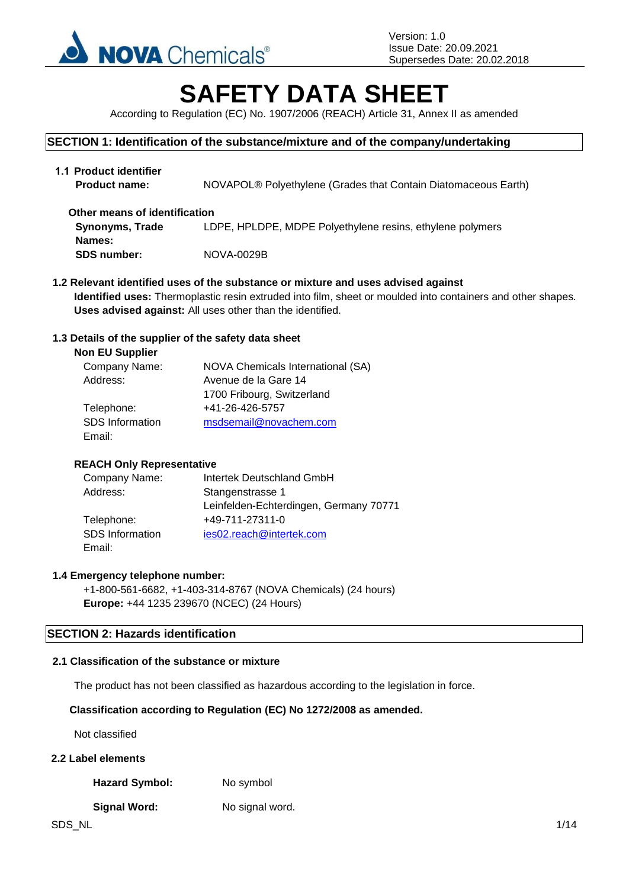

# **SAFETY DATA SHEET**

According to Regulation (EC) No. 1907/2006 (REACH) Article 31, Annex II as amended

# **SECTION 1: Identification of the substance/mixture and of the company/undertaking**

| 1.1 Product identifier<br><b>Product name:</b> | NOVAPOL® Polyethylene (Grades that Contain Diatomaceous Earth) |
|------------------------------------------------|----------------------------------------------------------------|
| Other means of identification                  |                                                                |
| <b>Synonyms, Trade</b>                         | LDPE, HPLDPE, MDPE Polyethylene resins, ethylene polymers      |
| Names:                                         |                                                                |
| <b>SDS number:</b>                             | NOVA-0029B                                                     |

**1.2 Relevant identified uses of the substance or mixture and uses advised against Identified uses:** Thermoplastic resin extruded into film, sheet or moulded into containers and other shapes. **Uses advised against:** All uses other than the identified.

## **1.3 Details of the supplier of the safety data sheet**

| <b>NOVA Chemicals International (SA)</b> |
|------------------------------------------|
| Avenue de la Gare 14                     |
| 1700 Fribourg, Switzerland               |
| +41-26-426-5757                          |
| msdsemail@novachem.com                   |
|                                          |
|                                          |

## **REACH Only Representative**

| Company Name:   | Intertek Deutschland GmbH              |
|-----------------|----------------------------------------|
| Address:        | Stangenstrasse 1                       |
|                 | Leinfelden-Echterdingen, Germany 70771 |
| Telephone:      | +49-711-27311-0                        |
| SDS Information | ies02.reach@intertek.com               |
| Email:          |                                        |

## **1.4 Emergency telephone number:**

+1-800-561-6682, +1-403-314-8767 (NOVA Chemicals) (24 hours) **Europe:** +44 1235 239670 (NCEC) (24 Hours)

## **SECTION 2: Hazards identification**

#### **2.1 Classification of the substance or mixture**

The product has not been classified as hazardous according to the legislation in force.

## **Classification according to Regulation (EC) No 1272/2008 as amended.**

Not classified

# **2.2 Label elements**

Hazard Symbol: No symbol

#### **Signal Word:** No signal word.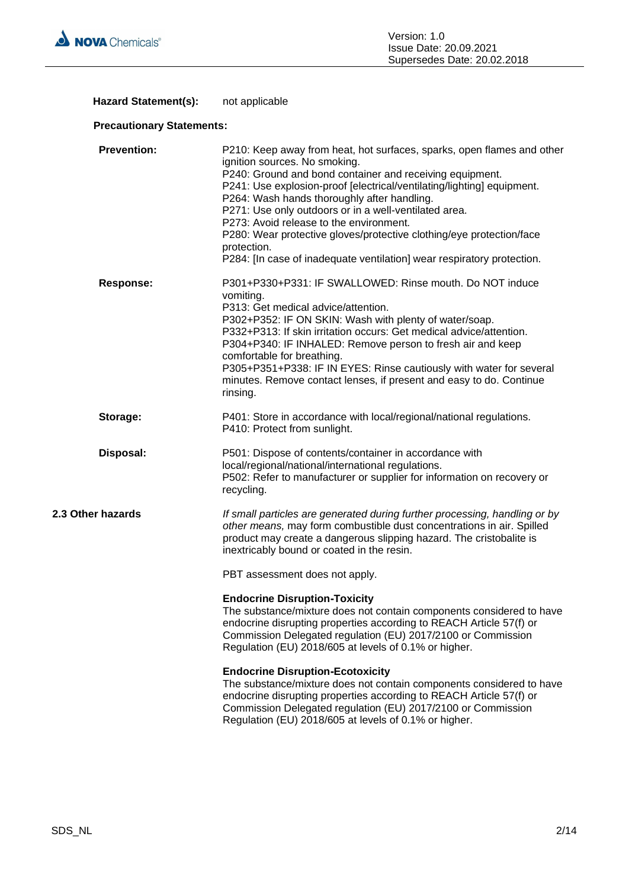

# Hazard Statement(s): not applicable

# **Precautionary Statements:**

| <b>Prevention:</b> | P210: Keep away from heat, hot surfaces, sparks, open flames and other<br>ignition sources. No smoking.<br>P240: Ground and bond container and receiving equipment.<br>P241: Use explosion-proof [electrical/ventilating/lighting] equipment.<br>P264: Wash hands thoroughly after handling.<br>P271: Use only outdoors or in a well-ventilated area.<br>P273: Avoid release to the environment.<br>P280: Wear protective gloves/protective clothing/eye protection/face<br>protection.<br>P284: [In case of inadequate ventilation] wear respiratory protection. |
|--------------------|-------------------------------------------------------------------------------------------------------------------------------------------------------------------------------------------------------------------------------------------------------------------------------------------------------------------------------------------------------------------------------------------------------------------------------------------------------------------------------------------------------------------------------------------------------------------|
| <b>Response:</b>   | P301+P330+P331: IF SWALLOWED: Rinse mouth. Do NOT induce<br>vomiting.<br>P313: Get medical advice/attention.<br>P302+P352: IF ON SKIN: Wash with plenty of water/soap.<br>P332+P313: If skin irritation occurs: Get medical advice/attention.<br>P304+P340: IF INHALED: Remove person to fresh air and keep<br>comfortable for breathing.<br>P305+P351+P338: IF IN EYES: Rinse cautiously with water for several<br>minutes. Remove contact lenses, if present and easy to do. Continue<br>rinsing.                                                               |
| Storage:           | P401: Store in accordance with local/regional/national regulations.<br>P410: Protect from sunlight.                                                                                                                                                                                                                                                                                                                                                                                                                                                               |
| Disposal:          | P501: Dispose of contents/container in accordance with<br>local/regional/national/international regulations.<br>P502: Refer to manufacturer or supplier for information on recovery or<br>recycling.                                                                                                                                                                                                                                                                                                                                                              |
| 2.3 Other hazards  | If small particles are generated during further processing, handling or by<br>other means, may form combustible dust concentrations in air. Spilled<br>product may create a dangerous slipping hazard. The cristobalite is<br>inextricably bound or coated in the resin.                                                                                                                                                                                                                                                                                          |
|                    | PBT assessment does not apply.                                                                                                                                                                                                                                                                                                                                                                                                                                                                                                                                    |
|                    | <b>Endocrine Disruption-Toxicity</b><br>The substance/mixture does not contain components considered to have<br>endocrine disrupting properties according to REACH Article 57(f) or<br>Commission Delegated regulation (EU) 2017/2100 or Commission<br>Regulation (EU) 2018/605 at levels of 0.1% or higher.                                                                                                                                                                                                                                                      |
|                    | <b>Endocrine Disruption-Ecotoxicity</b><br>The substance/mixture does not contain components considered to have<br>endocrine disrupting properties according to REACH Article 57(f) or<br>Commission Delegated regulation (EU) 2017/2100 or Commission<br>Regulation (EU) 2018/605 at levels of 0.1% or higher.                                                                                                                                                                                                                                                   |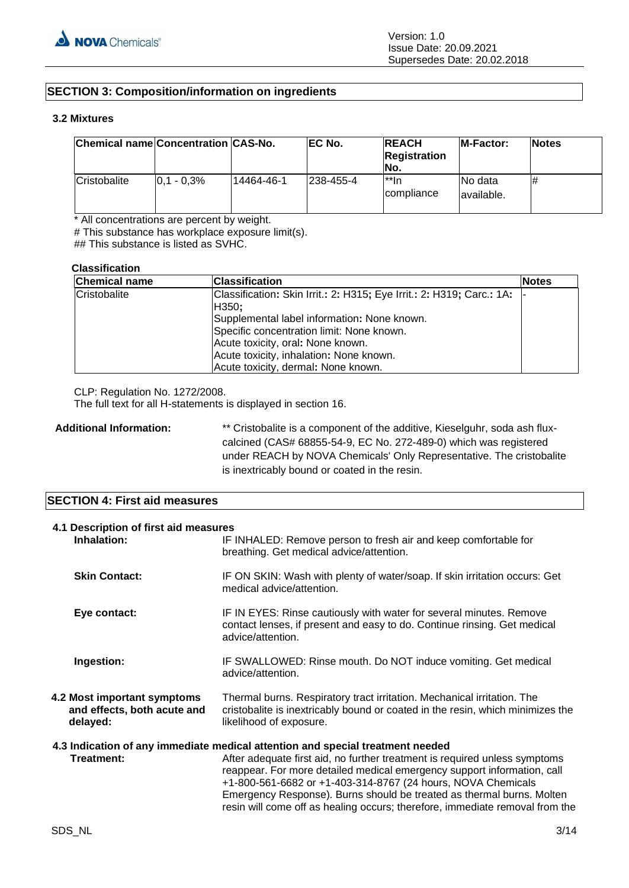# **SECTION 3: Composition/information on ingredients**

#### **3.2 Mixtures**

| Chemical name Concentration CAS-No. |                 |            | EC No.     | <b>REACH</b><br><b>Registration</b><br>INo. | <b>IM-Factor:</b>       | <b>Notes</b> |
|-------------------------------------|-----------------|------------|------------|---------------------------------------------|-------------------------|--------------|
| Cristobalite                        | $ 0.1 - 0.3\% $ | 14464-46-1 | 1238-455-4 | l**In<br><i>compliance</i>                  | INo data<br>lavailable. | #            |

\* All concentrations are percent by weight.

# This substance has workplace exposure limit(s).

## This substance is listed as SVHC.

#### **Classification**

| <b>Chemical name</b> | <b>Classification</b>                                                                                                                                                                                                                                                                             | <b>Notes</b> |
|----------------------|---------------------------------------------------------------------------------------------------------------------------------------------------------------------------------------------------------------------------------------------------------------------------------------------------|--------------|
| Cristobalite         | Classification: Skin Irrit.: 2: H315; Eye Irrit.: 2: H319; Carc.: 1A:<br>H350;<br>Supplemental label information: None known.<br>Specific concentration limit: None known.<br>Acute toxicity, oral: None known.<br>Acute toxicity, inhalation: None known.<br>Acute toxicity, dermal: None known. |              |

CLP: Regulation No. 1272/2008.

The full text for all H-statements is displayed in section 16.

Additional Information: \*\* Cristobalite is a component of the additive, Kieselguhr, soda ash fluxcalcined (CAS# 68855-54-9, EC No. 272-489-0) which was registered under REACH by NOVA Chemicals' Only Representative. The cristobalite is inextricably bound or coated in the resin.

## **SECTION 4: First aid measures**

| 4.1 Description of first aid measures<br>Inhalation:                                                                                                                                                                                                                                                                                                                                                                                                                           | IF INHALED: Remove person to fresh air and keep comfortable for<br>breathing. Get medical advice/attention.                                                                          |  |
|--------------------------------------------------------------------------------------------------------------------------------------------------------------------------------------------------------------------------------------------------------------------------------------------------------------------------------------------------------------------------------------------------------------------------------------------------------------------------------|--------------------------------------------------------------------------------------------------------------------------------------------------------------------------------------|--|
| <b>Skin Contact:</b>                                                                                                                                                                                                                                                                                                                                                                                                                                                           | IF ON SKIN: Wash with plenty of water/soap. If skin irritation occurs: Get<br>medical advice/attention.                                                                              |  |
| Eye contact:                                                                                                                                                                                                                                                                                                                                                                                                                                                                   | IF IN EYES: Rinse cautiously with water for several minutes. Remove<br>contact lenses, if present and easy to do. Continue rinsing. Get medical<br>advice/attention.                 |  |
| Ingestion:                                                                                                                                                                                                                                                                                                                                                                                                                                                                     | IF SWALLOWED: Rinse mouth. Do NOT induce vomiting. Get medical<br>advice/attention.                                                                                                  |  |
| 4.2 Most important symptoms<br>and effects, both acute and<br>delayed:                                                                                                                                                                                                                                                                                                                                                                                                         | Thermal burns. Respiratory tract irritation. Mechanical irritation. The<br>cristobalite is inextricably bound or coated in the resin, which minimizes the<br>likelihood of exposure. |  |
| 4.3 Indication of any immediate medical attention and special treatment needed<br>Treatment:<br>After adequate first aid, no further treatment is required unless symptoms<br>reappear. For more detailed medical emergency support information, call<br>+1-800-561-6682 or +1-403-314-8767 (24 hours, NOVA Chemicals<br>Emergency Response). Burns should be treated as thermal burns. Molten<br>resin will come off as healing occurs; therefore, immediate removal from the |                                                                                                                                                                                      |  |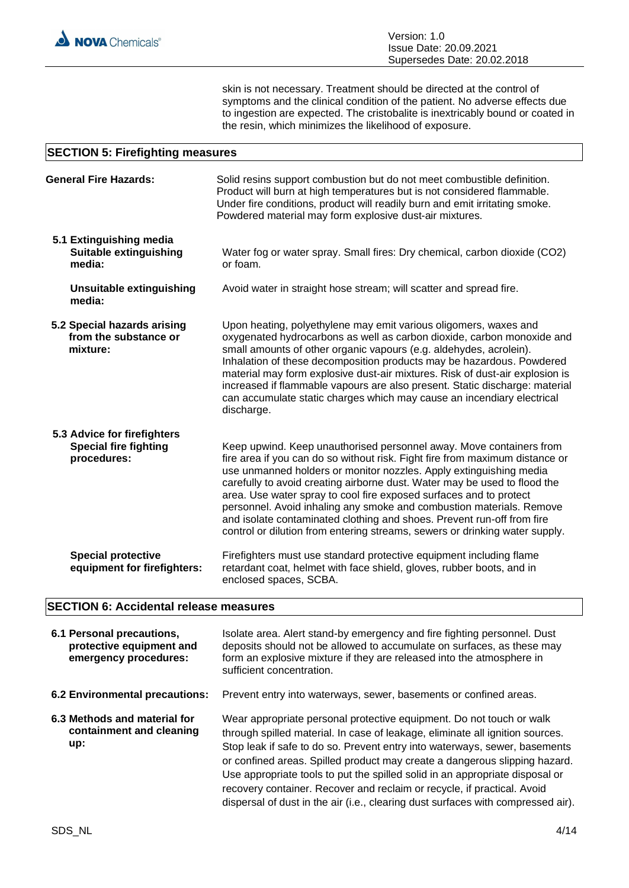skin is not necessary. Treatment should be directed at the control of symptoms and the clinical condition of the patient. No adverse effects due to ingestion are expected. The cristobalite is inextricably bound or coated in the resin, which minimizes the likelihood of exposure.

#### **SECTION 5: Firefighting measures**

| <b>General Fire Hazards:</b>                                               | Solid resins support combustion but do not meet combustible definition.<br>Product will burn at high temperatures but is not considered flammable.<br>Under fire conditions, product will readily burn and emit irritating smoke.<br>Powdered material may form explosive dust-air mixtures.                                                                                                                                                                                                                                                                                                                  |
|----------------------------------------------------------------------------|---------------------------------------------------------------------------------------------------------------------------------------------------------------------------------------------------------------------------------------------------------------------------------------------------------------------------------------------------------------------------------------------------------------------------------------------------------------------------------------------------------------------------------------------------------------------------------------------------------------|
| 5.1 Extinguishing media<br><b>Suitable extinguishing</b><br>media:         | Water fog or water spray. Small fires: Dry chemical, carbon dioxide (CO2)<br>or foam.                                                                                                                                                                                                                                                                                                                                                                                                                                                                                                                         |
| <b>Unsuitable extinguishing</b><br>media:                                  | Avoid water in straight hose stream; will scatter and spread fire.                                                                                                                                                                                                                                                                                                                                                                                                                                                                                                                                            |
| 5.2 Special hazards arising<br>from the substance or<br>mixture:           | Upon heating, polyethylene may emit various oligomers, waxes and<br>oxygenated hydrocarbons as well as carbon dioxide, carbon monoxide and<br>small amounts of other organic vapours (e.g. aldehydes, acrolein).<br>Inhalation of these decomposition products may be hazardous. Powdered<br>material may form explosive dust-air mixtures. Risk of dust-air explosion is<br>increased if flammable vapours are also present. Static discharge: material<br>can accumulate static charges which may cause an incendiary electrical<br>discharge.                                                              |
| 5.3 Advice for firefighters<br><b>Special fire fighting</b><br>procedures: | Keep upwind. Keep unauthorised personnel away. Move containers from<br>fire area if you can do so without risk. Fight fire from maximum distance or<br>use unmanned holders or monitor nozzles. Apply extinguishing media<br>carefully to avoid creating airborne dust. Water may be used to flood the<br>area. Use water spray to cool fire exposed surfaces and to protect<br>personnel. Avoid inhaling any smoke and combustion materials. Remove<br>and isolate contaminated clothing and shoes. Prevent run-off from fire<br>control or dilution from entering streams, sewers or drinking water supply. |
| <b>Special protective</b><br>equipment for firefighters:                   | Firefighters must use standard protective equipment including flame<br>retardant coat, helmet with face shield, gloves, rubber boots, and in<br>enclosed spaces, SCBA.                                                                                                                                                                                                                                                                                                                                                                                                                                        |

# **SECTION 6: Accidental release measures**

| 6.1 Personal precautions,<br>protective equipment and<br>emergency procedures: | Isolate area. Alert stand-by emergency and fire fighting personnel. Dust<br>deposits should not be allowed to accumulate on surfaces, as these may<br>form an explosive mixture if they are released into the atmosphere in<br>sufficient concentration.                                                                                                                                                                                                                                                                                                         |
|--------------------------------------------------------------------------------|------------------------------------------------------------------------------------------------------------------------------------------------------------------------------------------------------------------------------------------------------------------------------------------------------------------------------------------------------------------------------------------------------------------------------------------------------------------------------------------------------------------------------------------------------------------|
| 6.2 Environmental precautions:                                                 | Prevent entry into waterways, sewer, basements or confined areas.                                                                                                                                                                                                                                                                                                                                                                                                                                                                                                |
| 6.3 Methods and material for<br>containment and cleaning<br>up:                | Wear appropriate personal protective equipment. Do not touch or walk<br>through spilled material. In case of leakage, eliminate all ignition sources.<br>Stop leak if safe to do so. Prevent entry into waterways, sewer, basements<br>or confined areas. Spilled product may create a dangerous slipping hazard.<br>Use appropriate tools to put the spilled solid in an appropriate disposal or<br>recovery container. Recover and reclaim or recycle, if practical. Avoid<br>dispersal of dust in the air (i.e., clearing dust surfaces with compressed air). |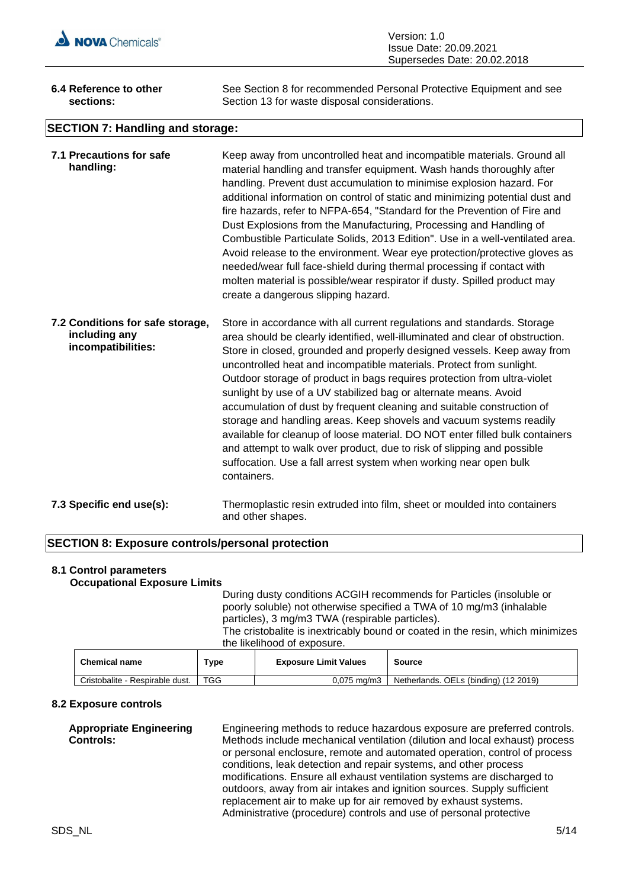

| Version: 1.0                |
|-----------------------------|
| Issue Date: 20.09.2021      |
| Supersedes Date: 20.02.2018 |

| 6.4 Reference to other           | See Section 8 for recommended Personal Protective Equipment and see |  |  |
|----------------------------------|---------------------------------------------------------------------|--|--|
| sections:                        | Section 13 for waste disposal considerations.                       |  |  |
| SECTION 7: Handling and storage: |                                                                     |  |  |

# **SECTION 7: Handling and storage:**

| 7.1 Precautions for safe<br>handling:                                   | Keep away from uncontrolled heat and incompatible materials. Ground all<br>material handling and transfer equipment. Wash hands thoroughly after<br>handling. Prevent dust accumulation to minimise explosion hazard. For<br>additional information on control of static and minimizing potential dust and<br>fire hazards, refer to NFPA-654, "Standard for the Prevention of Fire and<br>Dust Explosions from the Manufacturing, Processing and Handling of<br>Combustible Particulate Solids, 2013 Edition". Use in a well-ventilated area.<br>Avoid release to the environment. Wear eye protection/protective gloves as<br>needed/wear full face-shield during thermal processing if contact with<br>molten material is possible/wear respirator if dusty. Spilled product may<br>create a dangerous slipping hazard.                                 |
|-------------------------------------------------------------------------|------------------------------------------------------------------------------------------------------------------------------------------------------------------------------------------------------------------------------------------------------------------------------------------------------------------------------------------------------------------------------------------------------------------------------------------------------------------------------------------------------------------------------------------------------------------------------------------------------------------------------------------------------------------------------------------------------------------------------------------------------------------------------------------------------------------------------------------------------------|
| 7.2 Conditions for safe storage,<br>including any<br>incompatibilities: | Store in accordance with all current regulations and standards. Storage<br>area should be clearly identified, well-illuminated and clear of obstruction.<br>Store in closed, grounded and properly designed vessels. Keep away from<br>uncontrolled heat and incompatible materials. Protect from sunlight.<br>Outdoor storage of product in bags requires protection from ultra-violet<br>sunlight by use of a UV stabilized bag or alternate means. Avoid<br>accumulation of dust by frequent cleaning and suitable construction of<br>storage and handling areas. Keep shovels and vacuum systems readily<br>available for cleanup of loose material. DO NOT enter filled bulk containers<br>and attempt to walk over product, due to risk of slipping and possible<br>suffocation. Use a fall arrest system when working near open bulk<br>containers. |
| 7.3 Specific end use(s):                                                | Thermoplastic resin extruded into film, sheet or moulded into containers<br>and other shapes.                                                                                                                                                                                                                                                                                                                                                                                                                                                                                                                                                                                                                                                                                                                                                              |

# **SECTION 8: Exposure controls/personal protection**

#### **8.1 Control parameters Occupational Exposure Limits**

During dusty conditions ACGIH recommends for Particles (insoluble or poorly soluble) not otherwise specified a TWA of 10 mg/m3 (inhalable particles), 3 mg/m3 TWA (respirable particles).

The cristobalite is inextricably bound or coated in the resin, which minimizes the likelihood of exposure.

| <b>Chemical name</b>            | $T$ vpe | <b>Exposure Limit Values</b> | <b>Source</b>                         |
|---------------------------------|---------|------------------------------|---------------------------------------|
| Cristobalite - Respirable dust. | TGG     | $0.075$ ma/m3                | Netherlands. OELs (binding) (12 2019) |

#### **8.2 Exposure controls**

**Controls:**

**Appropriate Engineering**  Engineering methods to reduce hazardous exposure are preferred controls. Methods include mechanical ventilation (dilution and local exhaust) process or personal enclosure, remote and automated operation, control of process conditions, leak detection and repair systems, and other process modifications. Ensure all exhaust ventilation systems are discharged to outdoors, away from air intakes and ignition sources. Supply sufficient replacement air to make up for air removed by exhaust systems. Administrative (procedure) controls and use of personal protective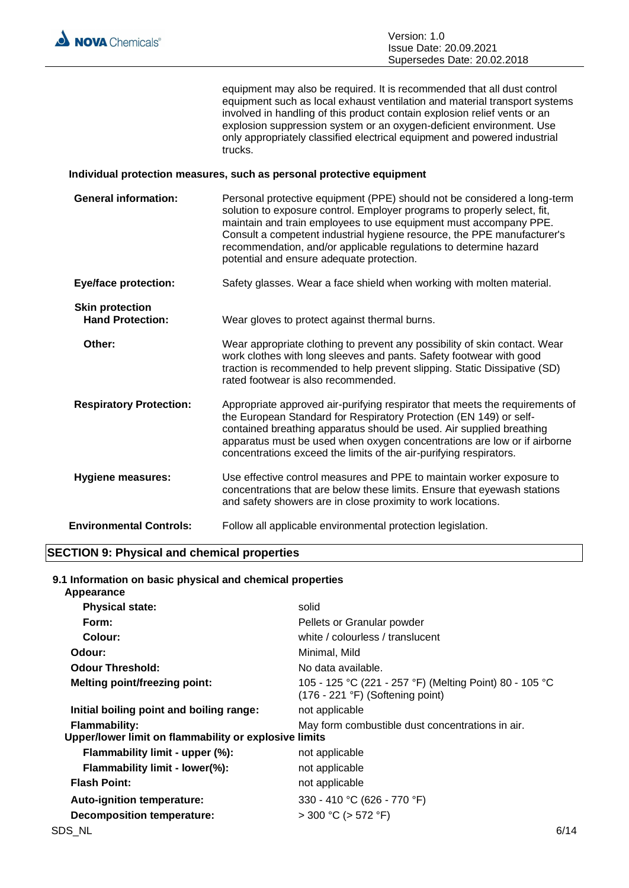

equipment may also be required. It is recommended that all dust control equipment such as local exhaust ventilation and material transport systems involved in handling of this product contain explosion relief vents or an explosion suppression system or an oxygen-deficient environment. Use only appropriately classified electrical equipment and powered industrial trucks.

#### **Individual protection measures, such as personal protective equipment**

| <b>General information:</b>                       | Personal protective equipment (PPE) should not be considered a long-term<br>solution to exposure control. Employer programs to properly select, fit,<br>maintain and train employees to use equipment must accompany PPE.<br>Consult a competent industrial hygiene resource, the PPE manufacturer's<br>recommendation, and/or applicable regulations to determine hazard<br>potential and ensure adequate protection. |
|---------------------------------------------------|------------------------------------------------------------------------------------------------------------------------------------------------------------------------------------------------------------------------------------------------------------------------------------------------------------------------------------------------------------------------------------------------------------------------|
| <b>Eye/face protection:</b>                       | Safety glasses. Wear a face shield when working with molten material.                                                                                                                                                                                                                                                                                                                                                  |
| <b>Skin protection</b><br><b>Hand Protection:</b> | Wear gloves to protect against thermal burns.                                                                                                                                                                                                                                                                                                                                                                          |
| Other:                                            | Wear appropriate clothing to prevent any possibility of skin contact. Wear<br>work clothes with long sleeves and pants. Safety footwear with good<br>traction is recommended to help prevent slipping. Static Dissipative (SD)<br>rated footwear is also recommended.                                                                                                                                                  |
| <b>Respiratory Protection:</b>                    | Appropriate approved air-purifying respirator that meets the requirements of<br>the European Standard for Respiratory Protection (EN 149) or self-<br>contained breathing apparatus should be used. Air supplied breathing<br>apparatus must be used when oxygen concentrations are low or if airborne<br>concentrations exceed the limits of the air-purifying respirators.                                           |
| <b>Hygiene measures:</b>                          | Use effective control measures and PPE to maintain worker exposure to<br>concentrations that are below these limits. Ensure that eyewash stations<br>and safety showers are in close proximity to work locations.                                                                                                                                                                                                      |
| <b>Environmental Controls:</b>                    | Follow all applicable environmental protection legislation.                                                                                                                                                                                                                                                                                                                                                            |

## **SECTION 9: Physical and chemical properties**

#### **9.1 Information on basic physical and chemical properties Appearance**

| <b>Physical state:</b>                                                        | solid                                                                                                |      |
|-------------------------------------------------------------------------------|------------------------------------------------------------------------------------------------------|------|
| Form:                                                                         | Pellets or Granular powder                                                                           |      |
| Colour:                                                                       | white / colourless / translucent                                                                     |      |
| Odour:                                                                        | Minimal, Mild                                                                                        |      |
| <b>Odour Threshold:</b>                                                       | No data available.                                                                                   |      |
| <b>Melting point/freezing point:</b>                                          | 105 - 125 °C (221 - 257 °F) (Melting Point) 80 - 105 °C<br>$(176 - 221 \degree F)$ (Softening point) |      |
| Initial boiling point and boiling range:                                      | not applicable                                                                                       |      |
| <b>Flammability:</b><br>Upper/lower limit on flammability or explosive limits | May form combustible dust concentrations in air.                                                     |      |
| Flammability limit - upper (%):                                               | not applicable                                                                                       |      |
| Flammability limit - lower(%):                                                | not applicable                                                                                       |      |
| <b>Flash Point:</b>                                                           | not applicable                                                                                       |      |
| Auto-ignition temperature:                                                    | 330 - 410 °C (626 - 770 °F)                                                                          |      |
| <b>Decomposition temperature:</b>                                             | $>$ 300 °C ( $>$ 572 °F)                                                                             |      |
| SDS_NL                                                                        |                                                                                                      | 6/14 |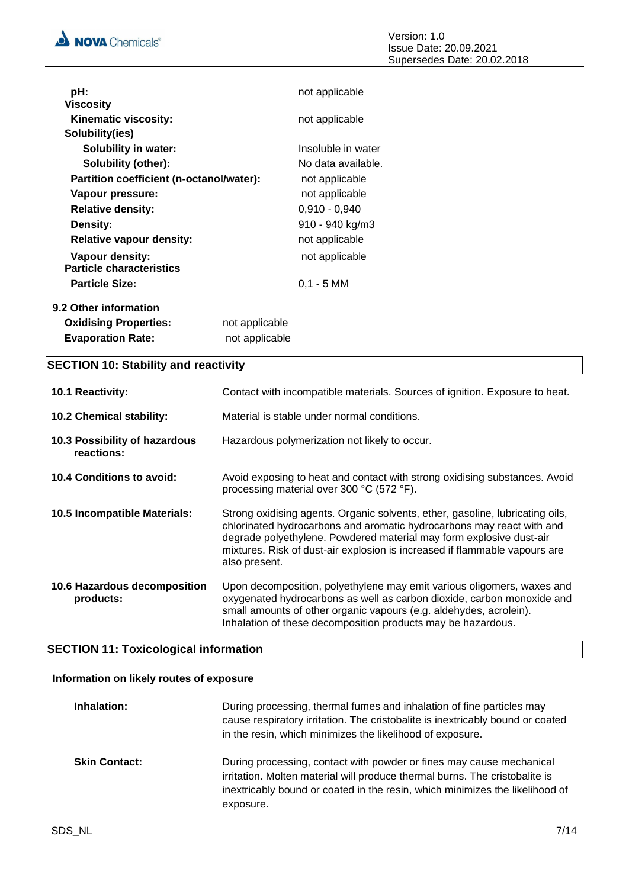

| pH:                                                |                | not applicable     |
|----------------------------------------------------|----------------|--------------------|
| <b>Viscosity</b>                                   |                |                    |
| Kinematic viscosity:                               |                | not applicable     |
| Solubility(ies)                                    |                |                    |
| <b>Solubility in water:</b>                        |                | Insoluble in water |
| Solubility (other):                                |                | No data available. |
| Partition coefficient (n-octanol/water):           |                | not applicable     |
| Vapour pressure:                                   |                | not applicable     |
| <b>Relative density:</b>                           |                | $0,910 - 0,940$    |
| Density:                                           |                | 910 - 940 kg/m3    |
| <b>Relative vapour density:</b>                    |                | not applicable     |
| Vapour density:<br><b>Particle characteristics</b> |                | not applicable     |
| <b>Particle Size:</b>                              |                | $0,1 - 5$ MM       |
| 9.2 Other information                              |                |                    |
| <b>Oxidising Properties:</b>                       | not applicable |                    |
| <b>Evaporation Rate:</b>                           | not applicable |                    |

# **SECTION 10: Stability and reactivity**

| 10.1 Reactivity:                            | Contact with incompatible materials. Sources of ignition. Exposure to heat.                                                                                                                                                                                                                                                  |
|---------------------------------------------|------------------------------------------------------------------------------------------------------------------------------------------------------------------------------------------------------------------------------------------------------------------------------------------------------------------------------|
| 10.2 Chemical stability:                    | Material is stable under normal conditions.                                                                                                                                                                                                                                                                                  |
| 10.3 Possibility of hazardous<br>reactions: | Hazardous polymerization not likely to occur.                                                                                                                                                                                                                                                                                |
| 10.4 Conditions to avoid:                   | Avoid exposing to heat and contact with strong oxidising substances. Avoid<br>processing material over 300 °C (572 °F).                                                                                                                                                                                                      |
| 10.5 Incompatible Materials:                | Strong oxidising agents. Organic solvents, ether, gasoline, lubricating oils,<br>chlorinated hydrocarbons and aromatic hydrocarbons may react with and<br>degrade polyethylene. Powdered material may form explosive dust-air<br>mixtures. Risk of dust-air explosion is increased if flammable vapours are<br>also present. |
| 10.6 Hazardous decomposition<br>products:   | Upon decomposition, polyethylene may emit various oligomers, waxes and<br>oxygenated hydrocarbons as well as carbon dioxide, carbon monoxide and<br>small amounts of other organic vapours (e.g. aldehydes, acrolein).<br>Inhalation of these decomposition products may be hazardous.                                       |

# **SECTION 11: Toxicological information**

# **Information on likely routes of exposure**

| Inhalation:          | During processing, thermal fumes and inhalation of fine particles may<br>cause respiratory irritation. The cristobalite is inextricably bound or coated<br>in the resin, which minimizes the likelihood of exposure.                             |
|----------------------|--------------------------------------------------------------------------------------------------------------------------------------------------------------------------------------------------------------------------------------------------|
| <b>Skin Contact:</b> | During processing, contact with powder or fines may cause mechanical<br>irritation. Molten material will produce thermal burns. The cristobalite is<br>inextricably bound or coated in the resin, which minimizes the likelihood of<br>exposure. |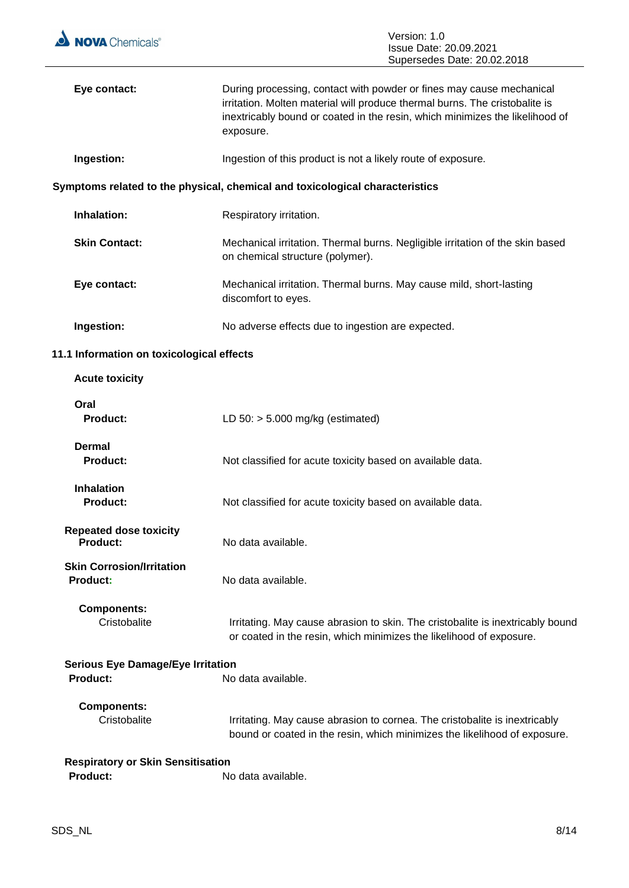

| Eye contact:                                         | During processing, contact with powder or fines may cause mechanical<br>irritation. Molten material will produce thermal burns. The cristobalite is<br>inextricably bound or coated in the resin, which minimizes the likelihood of<br>exposure. |
|------------------------------------------------------|--------------------------------------------------------------------------------------------------------------------------------------------------------------------------------------------------------------------------------------------------|
| Ingestion:                                           | Ingestion of this product is not a likely route of exposure.                                                                                                                                                                                     |
|                                                      | Symptoms related to the physical, chemical and toxicological characteristics                                                                                                                                                                     |
| Inhalation:                                          | Respiratory irritation.                                                                                                                                                                                                                          |
| <b>Skin Contact:</b>                                 | Mechanical irritation. Thermal burns. Negligible irritation of the skin based<br>on chemical structure (polymer).                                                                                                                                |
| Eye contact:                                         | Mechanical irritation. Thermal burns. May cause mild, short-lasting<br>discomfort to eyes.                                                                                                                                                       |
| Ingestion:                                           | No adverse effects due to ingestion are expected.                                                                                                                                                                                                |
| 11.1 Information on toxicological effects            |                                                                                                                                                                                                                                                  |
| <b>Acute toxicity</b>                                |                                                                                                                                                                                                                                                  |
| Oral<br><b>Product:</b>                              | LD $50:$ > 5.000 mg/kg (estimated)                                                                                                                                                                                                               |
| Dermal<br><b>Product:</b>                            | Not classified for acute toxicity based on available data.                                                                                                                                                                                       |
| <b>Inhalation</b><br>Product:                        | Not classified for acute toxicity based on available data.                                                                                                                                                                                       |
| <b>Repeated dose toxicity</b><br><b>Product:</b>     | No data available.                                                                                                                                                                                                                               |
| <b>Skin Corrosion/Irritation</b><br><b>Product:</b>  | No data available.                                                                                                                                                                                                                               |
| <b>Components:</b><br>Cristobalite                   | Irritating. May cause abrasion to skin. The cristobalite is inextricably bound<br>or coated in the resin, which minimizes the likelihood of exposure.                                                                                            |
| <b>Serious Eye Damage/Eye Irritation</b><br>Product: | No data available.                                                                                                                                                                                                                               |
| <b>Components:</b><br>Cristobalite                   | Irritating. May cause abrasion to cornea. The cristobalite is inextricably<br>bound or coated in the resin, which minimizes the likelihood of exposure.                                                                                          |
| <b>Respiratory or Skin Sensitisation</b><br>Product: | No data available.                                                                                                                                                                                                                               |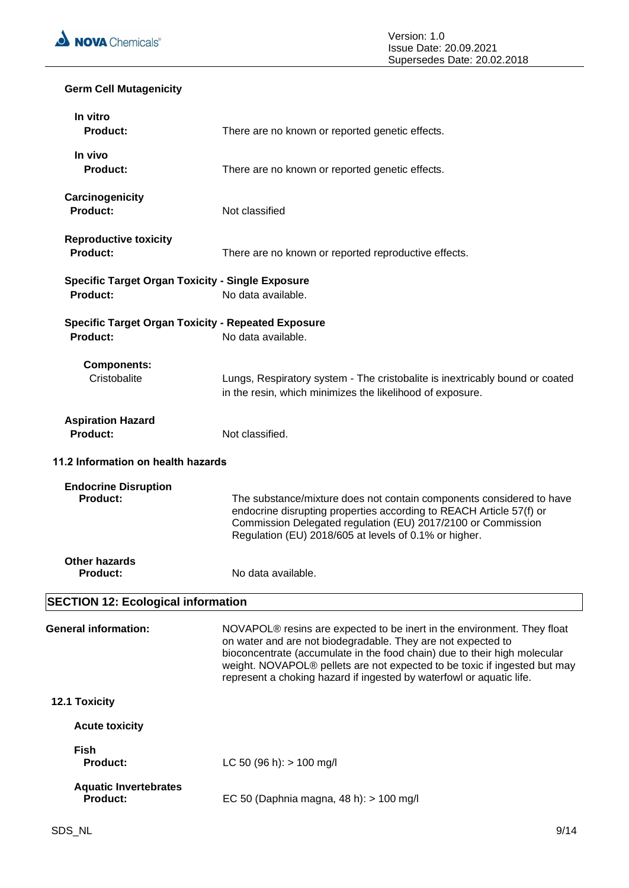

# **Germ Cell Mutagenicity**

| In vitro<br><b>Product:</b>                                           | There are no known or reported genetic effects.                                                                                                                                                                                                                                                                                                                                       |
|-----------------------------------------------------------------------|---------------------------------------------------------------------------------------------------------------------------------------------------------------------------------------------------------------------------------------------------------------------------------------------------------------------------------------------------------------------------------------|
| In vivo<br><b>Product:</b>                                            | There are no known or reported genetic effects.                                                                                                                                                                                                                                                                                                                                       |
| Carcinogenicity<br><b>Product:</b>                                    | Not classified                                                                                                                                                                                                                                                                                                                                                                        |
| <b>Reproductive toxicity</b><br><b>Product:</b>                       | There are no known or reported reproductive effects.                                                                                                                                                                                                                                                                                                                                  |
| <b>Specific Target Organ Toxicity - Single Exposure</b><br>Product:   | No data available.                                                                                                                                                                                                                                                                                                                                                                    |
| <b>Specific Target Organ Toxicity - Repeated Exposure</b><br>Product: | No data available.                                                                                                                                                                                                                                                                                                                                                                    |
| <b>Components:</b><br>Cristobalite                                    | Lungs, Respiratory system - The cristobalite is inextricably bound or coated<br>in the resin, which minimizes the likelihood of exposure.                                                                                                                                                                                                                                             |
| <b>Aspiration Hazard</b><br><b>Product:</b>                           | Not classified.                                                                                                                                                                                                                                                                                                                                                                       |
| 11.2 Information on health hazards                                    |                                                                                                                                                                                                                                                                                                                                                                                       |
| <b>Endocrine Disruption</b><br>Product:                               | The substance/mixture does not contain components considered to have<br>endocrine disrupting properties according to REACH Article 57(f) or<br>Commission Delegated regulation (EU) 2017/2100 or Commission<br>Regulation (EU) 2018/605 at levels of 0.1% or higher.                                                                                                                  |
| <b>Other hazards</b><br><b>Product:</b>                               | No data available.                                                                                                                                                                                                                                                                                                                                                                    |
| <b>SECTION 12: Ecological information</b>                             |                                                                                                                                                                                                                                                                                                                                                                                       |
| <b>General information:</b>                                           | NOVAPOL <sup>®</sup> resins are expected to be inert in the environment. They float<br>on water and are not biodegradable. They are not expected to<br>bioconcentrate (accumulate in the food chain) due to their high molecular<br>weight. NOVAPOL® pellets are not expected to be toxic if ingested but may<br>represent a choking hazard if ingested by waterfowl or aquatic life. |
| 12.1 Toxicity                                                         |                                                                                                                                                                                                                                                                                                                                                                                       |
| <b>Acute toxicity</b>                                                 |                                                                                                                                                                                                                                                                                                                                                                                       |
| <b>Fish</b><br><b>Product:</b>                                        | LC 50 (96 h): $> 100$ mg/l                                                                                                                                                                                                                                                                                                                                                            |
| <b>Aquatic Invertebrates</b><br><b>Product:</b>                       | EC 50 (Daphnia magna, 48 h): > 100 mg/l                                                                                                                                                                                                                                                                                                                                               |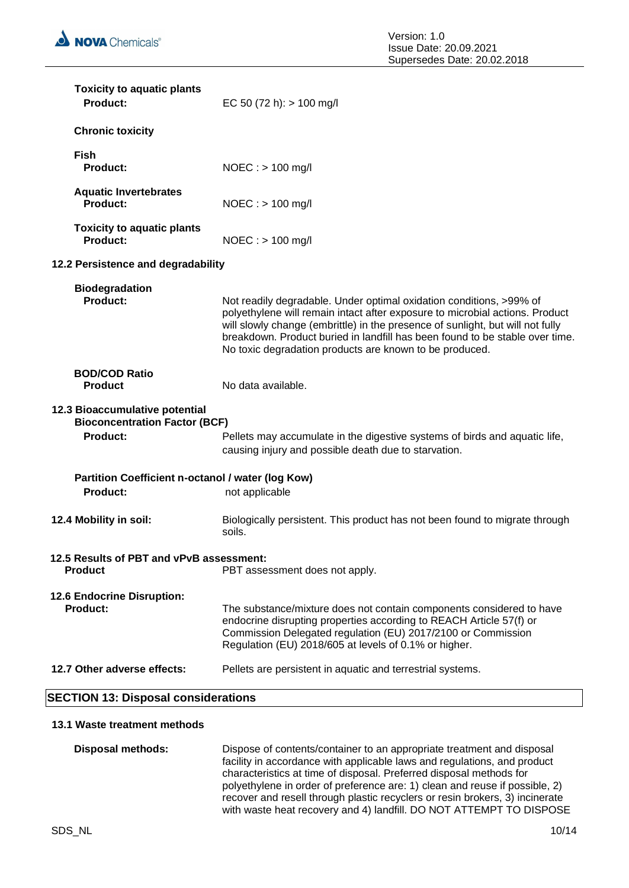| <b>Toxicity to aquatic plants</b><br>Product:                          | EC 50 (72 h): $> 100$ mg/l                                                                                                                                                                                                                                                                                                                                                       |
|------------------------------------------------------------------------|----------------------------------------------------------------------------------------------------------------------------------------------------------------------------------------------------------------------------------------------------------------------------------------------------------------------------------------------------------------------------------|
| <b>Chronic toxicity</b>                                                |                                                                                                                                                                                                                                                                                                                                                                                  |
| <b>Fish</b><br>Product:                                                | $NOEC :$ > 100 mg/l                                                                                                                                                                                                                                                                                                                                                              |
| <b>Aquatic Invertebrates</b><br>Product:                               | $NOEC :$ > 100 mg/l                                                                                                                                                                                                                                                                                                                                                              |
| <b>Toxicity to aquatic plants</b><br>Product:                          | $NOEC : > 100$ mg/l                                                                                                                                                                                                                                                                                                                                                              |
| 12.2 Persistence and degradability                                     |                                                                                                                                                                                                                                                                                                                                                                                  |
| <b>Biodegradation</b><br>Product:                                      | Not readily degradable. Under optimal oxidation conditions, >99% of<br>polyethylene will remain intact after exposure to microbial actions. Product<br>will slowly change (embrittle) in the presence of sunlight, but will not fully<br>breakdown. Product buried in landfill has been found to be stable over time.<br>No toxic degradation products are known to be produced. |
| <b>BOD/COD Ratio</b><br><b>Product</b>                                 | No data available.                                                                                                                                                                                                                                                                                                                                                               |
| 12.3 Bioaccumulative potential<br><b>Bioconcentration Factor (BCF)</b> |                                                                                                                                                                                                                                                                                                                                                                                  |
| Product:                                                               | Pellets may accumulate in the digestive systems of birds and aquatic life,<br>causing injury and possible death due to starvation.                                                                                                                                                                                                                                               |
| Partition Coefficient n-octanol / water (log Kow)<br><b>Product:</b>   | not applicable                                                                                                                                                                                                                                                                                                                                                                   |
| 12.4 Mobility in soil:                                                 | Biologically persistent. This product has not been found to migrate through<br>soils.                                                                                                                                                                                                                                                                                            |
| 12.5 Results of PBT and vPvB assessment:<br><b>Product</b>             | PBT assessment does not apply.                                                                                                                                                                                                                                                                                                                                                   |
| 12.6 Endocrine Disruption:<br><b>Product:</b>                          | The substance/mixture does not contain components considered to have<br>endocrine disrupting properties according to REACH Article 57(f) or<br>Commission Delegated regulation (EU) 2017/2100 or Commission<br>Regulation (EU) 2018/605 at levels of 0.1% or higher.                                                                                                             |
| 12.7 Other adverse effects:                                            | Pellets are persistent in aquatic and terrestrial systems.                                                                                                                                                                                                                                                                                                                       |
| <b>SECTION 13: Disposal considerations</b>                             |                                                                                                                                                                                                                                                                                                                                                                                  |

# **13.1 Waste treatment methods**

| Disposal methods: | Dispose of contents/container to an appropriate treatment and disposal<br>facility in accordance with applicable laws and regulations, and product |
|-------------------|----------------------------------------------------------------------------------------------------------------------------------------------------|
|                   | characteristics at time of disposal. Preferred disposal methods for<br>polyethylene in order of preference are: 1) clean and reuse if possible, 2) |
|                   | recover and resell through plastic recyclers or resin brokers, 3) incinerate                                                                       |
|                   | with waste heat recovery and 4) landfill. DO NOT ATTEMPT TO DISPOSE                                                                                |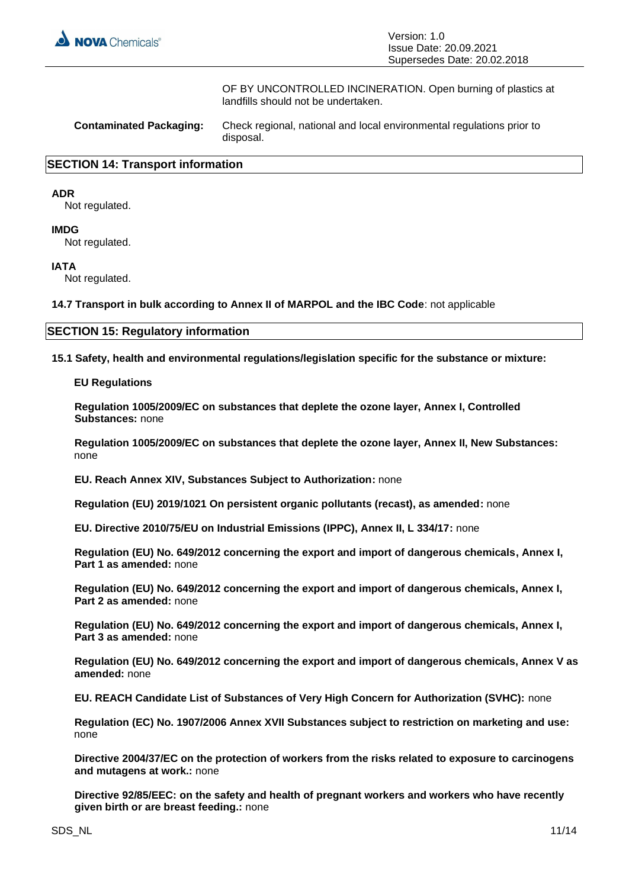

OF BY UNCONTROLLED INCINERATION. Open burning of plastics at landfills should not be undertaken.

| <b>Contaminated Packaging:</b> | Check regional, national and local environmental regulations prior to<br>disposal. |
|--------------------------------|------------------------------------------------------------------------------------|
|--------------------------------|------------------------------------------------------------------------------------|

#### **SECTION 14: Transport information**

#### **ADR**

Not regulated.

#### **IMDG**

Not regulated.

#### **IATA**

Not regulated.

**14.7 Transport in bulk according to Annex II of MARPOL and the IBC Code**: not applicable

#### **SECTION 15: Regulatory information**

**15.1 Safety, health and environmental regulations/legislation specific for the substance or mixture:**

**EU Regulations**

**Regulation 1005/2009/EC on substances that deplete the ozone layer, Annex I, Controlled Substances:** none

**Regulation 1005/2009/EC on substances that deplete the ozone layer, Annex II, New Substances:**  none

**EU. Reach Annex XIV, Substances Subject to Authorization:** none

**Regulation (EU) 2019/1021 On persistent organic pollutants (recast), as amended:** none

**EU. Directive 2010/75/EU on Industrial Emissions (IPPC), Annex II, L 334/17:** none

**Regulation (EU) No. 649/2012 concerning the export and import of dangerous chemicals, Annex I, Part 1 as amended:** none

**Regulation (EU) No. 649/2012 concerning the export and import of dangerous chemicals, Annex I, Part 2 as amended:** none

**Regulation (EU) No. 649/2012 concerning the export and import of dangerous chemicals, Annex I, Part 3 as amended:** none

**Regulation (EU) No. 649/2012 concerning the export and import of dangerous chemicals, Annex V as amended:** none

**EU. REACH Candidate List of Substances of Very High Concern for Authorization (SVHC):** none

**Regulation (EC) No. 1907/2006 Annex XVII Substances subject to restriction on marketing and use:**  none

**Directive 2004/37/EC on the protection of workers from the risks related to exposure to carcinogens and mutagens at work.:** none

**Directive 92/85/EEC: on the safety and health of pregnant workers and workers who have recently given birth or are breast feeding.:** none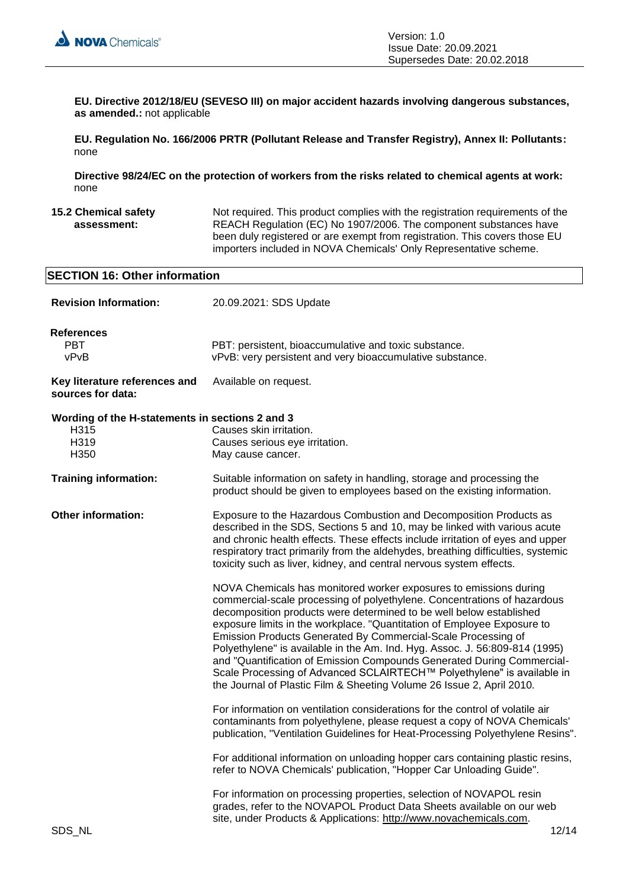

**EU. Directive 2012/18/EU (SEVESO III) on major accident hazards involving dangerous substances, as amended.:** not applicable

**EU. Regulation No. 166/2006 PRTR (Pollutant Release and Transfer Registry), Annex II: Pollutants:**  none

**Directive 98/24/EC on the protection of workers from the risks related to chemical agents at work:**  none

**15.2 Chemical safety assessment:** Not required. This product complies with the registration requirements of the REACH Regulation (EC) No 1907/2006. The component substances have been duly registered or are exempt from registration. This covers those EU importers included in NOVA Chemicals' Only Representative scheme.

| <b>SECTION 16: Other information</b>                                    |                                                                                                                                                                                                                                                                                                                                                                                                                                                                                                                                                                                                                                                                              |  |
|-------------------------------------------------------------------------|------------------------------------------------------------------------------------------------------------------------------------------------------------------------------------------------------------------------------------------------------------------------------------------------------------------------------------------------------------------------------------------------------------------------------------------------------------------------------------------------------------------------------------------------------------------------------------------------------------------------------------------------------------------------------|--|
| <b>Revision Information:</b>                                            | 20.09.2021: SDS Update                                                                                                                                                                                                                                                                                                                                                                                                                                                                                                                                                                                                                                                       |  |
| <b>References</b><br><b>PBT</b><br>vPvB                                 | PBT: persistent, bioaccumulative and toxic substance.<br>vPvB: very persistent and very bioaccumulative substance.                                                                                                                                                                                                                                                                                                                                                                                                                                                                                                                                                           |  |
| Key literature references and<br>sources for data:                      | Available on request.                                                                                                                                                                                                                                                                                                                                                                                                                                                                                                                                                                                                                                                        |  |
| Wording of the H-statements in sections 2 and 3<br>H315<br>H319<br>H350 | Causes skin irritation.<br>Causes serious eye irritation.<br>May cause cancer.                                                                                                                                                                                                                                                                                                                                                                                                                                                                                                                                                                                               |  |
| <b>Training information:</b>                                            | Suitable information on safety in handling, storage and processing the<br>product should be given to employees based on the existing information.                                                                                                                                                                                                                                                                                                                                                                                                                                                                                                                            |  |
| <b>Other information:</b>                                               | Exposure to the Hazardous Combustion and Decomposition Products as<br>described in the SDS, Sections 5 and 10, may be linked with various acute<br>and chronic health effects. These effects include irritation of eyes and upper<br>respiratory tract primarily from the aldehydes, breathing difficulties, systemic<br>toxicity such as liver, kidney, and central nervous system effects.                                                                                                                                                                                                                                                                                 |  |
|                                                                         | NOVA Chemicals has monitored worker exposures to emissions during<br>commercial-scale processing of polyethylene. Concentrations of hazardous<br>decomposition products were determined to be well below established<br>exposure limits in the workplace. "Quantitation of Employee Exposure to<br>Emission Products Generated By Commercial-Scale Processing of<br>Polyethylene" is available in the Am. Ind. Hyg. Assoc. J. 56:809-814 (1995)<br>and "Quantification of Emission Compounds Generated During Commercial-<br>Scale Processing of Advanced SCLAIRTECH™ Polyethylene" is available in<br>the Journal of Plastic Film & Sheeting Volume 26 Issue 2, April 2010. |  |
|                                                                         | For information on ventilation considerations for the control of volatile air<br>contaminants from polyethylene, please request a copy of NOVA Chemicals'<br>publication, "Ventilation Guidelines for Heat-Processing Polyethylene Resins".                                                                                                                                                                                                                                                                                                                                                                                                                                  |  |
|                                                                         | For additional information on unloading hopper cars containing plastic resins,<br>refer to NOVA Chemicals' publication, "Hopper Car Unloading Guide".                                                                                                                                                                                                                                                                                                                                                                                                                                                                                                                        |  |
| SDS_NL                                                                  | For information on processing properties, selection of NOVAPOL resin<br>grades, refer to the NOVAPOL Product Data Sheets available on our web<br>site, under Products & Applications: http://www.novachemicals.com.<br>12/14                                                                                                                                                                                                                                                                                                                                                                                                                                                 |  |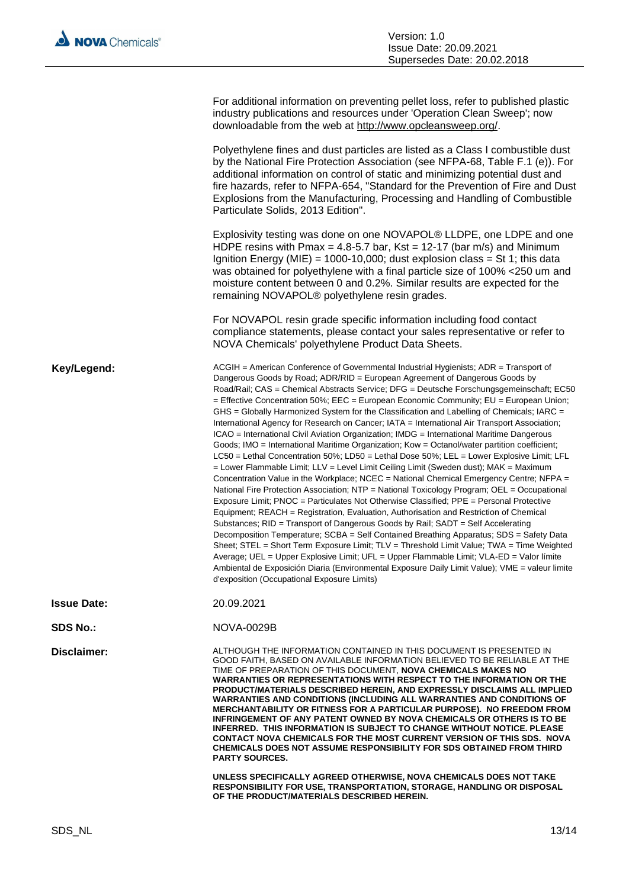|                    | For additional information on preventing pellet loss, refer to published plastic<br>industry publications and resources under 'Operation Clean Sweep'; now<br>downloadable from the web at http://www.opcleansweep.org/.                                                                                                                                                                                                                                                                                                                                                                                                                                                                                                                                                                                                                                                                                                                                                                                                                                                                                                                                                                                                                                                                                                                                                                                                                                                                                                                                                                                                                                                                                                                                                                                                                              |
|--------------------|-------------------------------------------------------------------------------------------------------------------------------------------------------------------------------------------------------------------------------------------------------------------------------------------------------------------------------------------------------------------------------------------------------------------------------------------------------------------------------------------------------------------------------------------------------------------------------------------------------------------------------------------------------------------------------------------------------------------------------------------------------------------------------------------------------------------------------------------------------------------------------------------------------------------------------------------------------------------------------------------------------------------------------------------------------------------------------------------------------------------------------------------------------------------------------------------------------------------------------------------------------------------------------------------------------------------------------------------------------------------------------------------------------------------------------------------------------------------------------------------------------------------------------------------------------------------------------------------------------------------------------------------------------------------------------------------------------------------------------------------------------------------------------------------------------------------------------------------------------|
|                    | Polyethylene fines and dust particles are listed as a Class I combustible dust<br>by the National Fire Protection Association (see NFPA-68, Table F.1 (e)). For<br>additional information on control of static and minimizing potential dust and<br>fire hazards, refer to NFPA-654, "Standard for the Prevention of Fire and Dust<br>Explosions from the Manufacturing, Processing and Handling of Combustible<br>Particulate Solids, 2013 Edition".                                                                                                                                                                                                                                                                                                                                                                                                                                                                                                                                                                                                                                                                                                                                                                                                                                                                                                                                                                                                                                                                                                                                                                                                                                                                                                                                                                                                 |
|                    | Explosivity testing was done on one NOVAPOL® LLDPE, one LDPE and one<br>HDPE resins with Pmax = 4.8-5.7 bar, Kst = 12-17 (bar m/s) and Minimum<br>Ignition Energy (MIE) = 1000-10,000; dust explosion class = St 1; this data<br>was obtained for polyethylene with a final particle size of 100% <250 um and<br>moisture content between 0 and 0.2%. Similar results are expected for the<br>remaining NOVAPOL® polyethylene resin grades.                                                                                                                                                                                                                                                                                                                                                                                                                                                                                                                                                                                                                                                                                                                                                                                                                                                                                                                                                                                                                                                                                                                                                                                                                                                                                                                                                                                                           |
|                    | For NOVAPOL resin grade specific information including food contact<br>compliance statements, please contact your sales representative or refer to<br>NOVA Chemicals' polyethylene Product Data Sheets.                                                                                                                                                                                                                                                                                                                                                                                                                                                                                                                                                                                                                                                                                                                                                                                                                                                                                                                                                                                                                                                                                                                                                                                                                                                                                                                                                                                                                                                                                                                                                                                                                                               |
| Key/Legend:        | ACGIH = American Conference of Governmental Industrial Hygienists; ADR = Transport of<br>Dangerous Goods by Road; ADR/RID = European Agreement of Dangerous Goods by<br>Road/Rail; CAS = Chemical Abstracts Service; DFG = Deutsche Forschungsgemeinschaft; EC50<br>= Effective Concentration 50%; EEC = European Economic Community; EU = European Union;<br>GHS = Globally Harmonized System for the Classification and Labelling of Chemicals; IARC =<br>International Agency for Research on Cancer; IATA = International Air Transport Association;<br>ICAO = International Civil Aviation Organization; IMDG = International Maritime Dangerous<br>Goods; IMO = International Maritime Organization; Kow = Octanol/water partition coefficient;<br>$LC50$ = Lethal Concentration 50%; LD50 = Lethal Dose 50%; LEL = Lower Explosive Limit; LFL<br>= Lower Flammable Limit; LLV = Level Limit Ceiling Limit (Sweden dust); MAK = Maximum<br>Concentration Value in the Workplace; NCEC = National Chemical Emergency Centre; NFPA =<br>National Fire Protection Association; NTP = National Toxicology Program; OEL = Occupational<br>Exposure Limit; PNOC = Particulates Not Otherwise Classified; PPE = Personal Protective<br>Equipment; REACH = Registration, Evaluation, Authorisation and Restriction of Chemical<br>Substances; RID = Transport of Dangerous Goods by Rail; SADT = Self Accelerating<br>Decomposition Temperature; SCBA = Self Contained Breathing Apparatus; SDS = Safety Data<br>Sheet; STEL = Short Term Exposure Limit; TLV = Threshold Limit Value; TWA = Time Weighted<br>Average; UEL = Upper Explosive Limit; UFL = Upper Flammable Limit; VLA-ED = Valor límite<br>Ambiental de Exposición Diaria (Environmental Exposure Daily Limit Value); VME = valeur limite<br>d'exposition (Occupational Exposure Limits) |
| <b>Issue Date:</b> | 20.09.2021                                                                                                                                                                                                                                                                                                                                                                                                                                                                                                                                                                                                                                                                                                                                                                                                                                                                                                                                                                                                                                                                                                                                                                                                                                                                                                                                                                                                                                                                                                                                                                                                                                                                                                                                                                                                                                            |
| <b>SDS No.:</b>    | NOVA-0029B                                                                                                                                                                                                                                                                                                                                                                                                                                                                                                                                                                                                                                                                                                                                                                                                                                                                                                                                                                                                                                                                                                                                                                                                                                                                                                                                                                                                                                                                                                                                                                                                                                                                                                                                                                                                                                            |
| Disclaimer:        | ALTHOUGH THE INFORMATION CONTAINED IN THIS DOCUMENT IS PRESENTED IN<br>GOOD FAITH. BASED ON AVAILABLE INFORMATION BELIEVED TO BE RELIABLE AT THE<br>TIME OF PREPARATION OF THIS DOCUMENT, NOVA CHEMICALS MAKES NO<br>WARRANTIES OR REPRESENTATIONS WITH RESPECT TO THE INFORMATION OR THE<br>PRODUCT/MATERIALS DESCRIBED HEREIN, AND EXPRESSLY DISCLAIMS ALL IMPLIED<br><b>WARRANTIES AND CONDITIONS (INCLUDING ALL WARRANTIES AND CONDITIONS OF</b><br>MERCHANTABILITY OR FITNESS FOR A PARTICULAR PURPOSE). NO FREEDOM FROM<br><b>INFRINGEMENT OF ANY PATENT OWNED BY NOVA CHEMICALS OR OTHERS IS TO BE</b><br>INFERRED. THIS INFORMATION IS SUBJECT TO CHANGE WITHOUT NOTICE. PLEASE<br><b>CONTACT NOVA CHEMICALS FOR THE MOST CURRENT VERSION OF THIS SDS. NOVA</b><br>CHEMICALS DOES NOT ASSUME RESPONSIBILITY FOR SDS OBTAINED FROM THIRD<br><b>PARTY SOURCES.</b>                                                                                                                                                                                                                                                                                                                                                                                                                                                                                                                                                                                                                                                                                                                                                                                                                                                                                                                                                                              |
|                    | UNLESS SPECIFICALLY AGREED OTHERWISE, NOVA CHEMICALS DOES NOT TAKE<br>RESPONSIBILITY FOR USE, TRANSPORTATION, STORAGE, HANDLING OR DISPOSAL<br>OF THE PRODUCT/MATERIALS DESCRIBED HEREIN.                                                                                                                                                                                                                                                                                                                                                                                                                                                                                                                                                                                                                                                                                                                                                                                                                                                                                                                                                                                                                                                                                                                                                                                                                                                                                                                                                                                                                                                                                                                                                                                                                                                             |
|                    |                                                                                                                                                                                                                                                                                                                                                                                                                                                                                                                                                                                                                                                                                                                                                                                                                                                                                                                                                                                                                                                                                                                                                                                                                                                                                                                                                                                                                                                                                                                                                                                                                                                                                                                                                                                                                                                       |